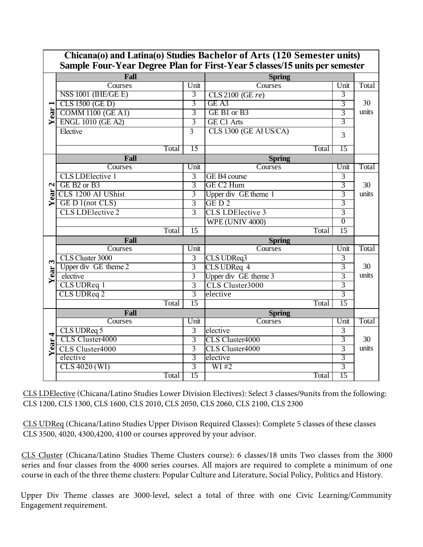|                              | Sample Four-Year Degree Plan for First-Year 5 classes/15 units per semester |                 |                         |                 |       |  |  |  |  |  |
|------------------------------|-----------------------------------------------------------------------------|-----------------|-------------------------|-----------------|-------|--|--|--|--|--|
|                              | Fall                                                                        | <b>Spring</b>   |                         |                 |       |  |  |  |  |  |
| ear<br>≻                     | Courses                                                                     | Unit            | Courses                 | Unit            | Total |  |  |  |  |  |
|                              | NSS 1001 (IHE/GE E)                                                         | 3               | CLS 2100 (GE re)        | 3               |       |  |  |  |  |  |
|                              | CLS 1500 (GE D)                                                             | 3               | GE A3                   | 3               | 30    |  |  |  |  |  |
|                              | <b>COMM 1100 (GE A1)</b>                                                    | $\overline{3}$  | GE B1 or B3             | $\overline{3}$  | units |  |  |  |  |  |
|                              | <b>ENGL 1010 (GE A2)</b>                                                    | 3               | <b>GE C1 Arts</b>       | $\overline{3}$  |       |  |  |  |  |  |
|                              | Elective                                                                    | $\overline{3}$  | CLS 1300 (GE AI US/CA)  | 3               |       |  |  |  |  |  |
|                              |                                                                             |                 |                         |                 |       |  |  |  |  |  |
|                              | Total                                                                       | 15              | Total                   | 15              |       |  |  |  |  |  |
| $\mathbf{\mathbf{z}}$<br>ear | Fall                                                                        |                 | <b>Spring</b>           |                 |       |  |  |  |  |  |
|                              | Courses                                                                     | Unit            | Courses                 | Unit            | Total |  |  |  |  |  |
|                              | <b>CLS LDElective 1</b>                                                     | $\overline{3}$  | GE B4 course            | 3               |       |  |  |  |  |  |
|                              | GE B2 or B3                                                                 | $\overline{3}$  | GE C <sub>2</sub> Hum   | $\overline{3}$  | 30    |  |  |  |  |  |
|                              | CLS 1200 AI UShist                                                          | $\overline{3}$  | Upper div GE theme 1    | $\overline{3}$  | units |  |  |  |  |  |
| ➤                            | GE D 1(not CLS)                                                             | $\overline{3}$  | GED <sub>2</sub>        | 3               |       |  |  |  |  |  |
|                              | <b>CLS LDElective 2</b>                                                     | $\overline{3}$  | <b>CLS LDElective 3</b> | $\overline{3}$  |       |  |  |  |  |  |
|                              |                                                                             |                 | <b>WPE (UNIV 4000)</b>  | $\overline{0}$  |       |  |  |  |  |  |
|                              | Total                                                                       | $\overline{15}$ | Total                   | $\overline{15}$ |       |  |  |  |  |  |
|                              | Fall                                                                        |                 | <b>Spring</b>           |                 |       |  |  |  |  |  |
|                              | Courses                                                                     | Unit            | Courses                 | Unit            | Total |  |  |  |  |  |
| $\mathbf{c}$                 | CLS Cluster 3000                                                            | $\overline{3}$  | CLS UDReq3              | $\overline{3}$  |       |  |  |  |  |  |
| ear.<br>⋝                    | Upper div GE theme 2                                                        | $\overline{3}$  | CLS UDReq 4             | $\overline{3}$  | 30    |  |  |  |  |  |
|                              | elective                                                                    | $\overline{3}$  | Upper div GE theme 3    | $\overline{3}$  | units |  |  |  |  |  |
|                              | CLS UDReq 1                                                                 | $\overline{3}$  | CLS Cluster3000         | $\overline{3}$  |       |  |  |  |  |  |
|                              | CLS UDReq 2                                                                 | $\overline{3}$  | elective                | $\overline{3}$  |       |  |  |  |  |  |
|                              | Total                                                                       | 15              | Total                   | 15              |       |  |  |  |  |  |
| 4<br>Year <sup>.</sup>       | Fall                                                                        |                 | <b>Spring</b>           |                 |       |  |  |  |  |  |
|                              | Courses                                                                     | Unit            | Courses                 | Unit            | Total |  |  |  |  |  |
|                              | CLS UDReq 5                                                                 | $\overline{3}$  | elective                | 3               |       |  |  |  |  |  |
|                              | CLS Cluster4000                                                             | $\overline{3}$  | CLS Cluster4000         | 3               | 30    |  |  |  |  |  |
|                              | CLS Cluster4000                                                             | $\overline{3}$  | CLS Cluster4000         | $\overline{3}$  | units |  |  |  |  |  |
|                              | elective                                                                    | $\overline{3}$  | elective                | 3               |       |  |  |  |  |  |
|                              | CLS 4020 (WI)                                                               | $\overline{3}$  | W1#2                    | $\overline{3}$  |       |  |  |  |  |  |
|                              | Total                                                                       | 15              | Total                   | 15              |       |  |  |  |  |  |

**Chicana(o) and Latina(o) Studies Bachelor of Arts (120 Semester units)** 

CLS LDElective (Chicana/Latino Studies Lower Division Electives): Select 3 classes/9units from the following: CLS 1200, CLS 1300, CLS 1600, CLS 2010, CLS 2050, CLS 2060, CLS 2100, CLS 2300

CLS UDReq (Chicana/Latino Studies Upper Divison Required Classes): Complete 5 classes of these classes CLS 3500, 4020, 4300,4200, 4100 or courses approved by your advisor.

CLS Cluster (Chicana/Latino Studies Theme Clusters course): 6 classes/18 units Two classes from the 3000 series and four classes from the 4000 series courses. All majors are required to complete a minimum of one course in each of the three theme clusters: Popular Culture and Literature, Social Policy, Politics and History.

Upper Div Theme classes are 3000-level, select a total of three with one Civic Learning/Community Engagement requirement.